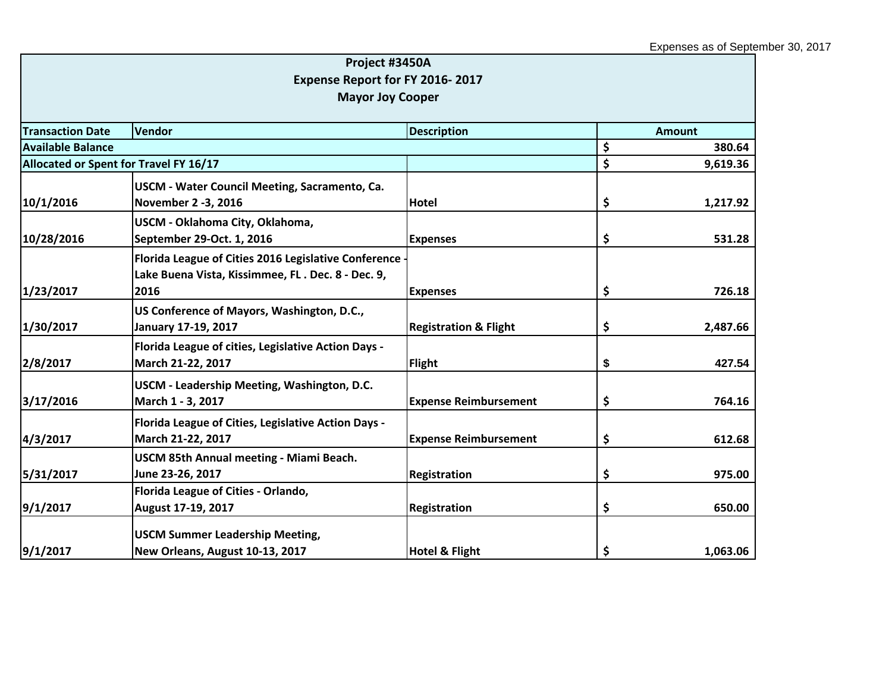|                                        | Project #3450A                                       |                                  |                |
|----------------------------------------|------------------------------------------------------|----------------------------------|----------------|
|                                        | Expense Report for FY 2016-2017                      |                                  |                |
|                                        | <b>Mayor Joy Cooper</b>                              |                                  |                |
|                                        |                                                      |                                  |                |
| <b>Transaction Date</b>                | Vendor                                               | <b>Description</b>               | <b>Amount</b>  |
| <b>Available Balance</b>               |                                                      |                                  | \$<br>380.64   |
| Allocated or Spent for Travel FY 16/17 |                                                      |                                  | \$<br>9,619.36 |
|                                        | USCM - Water Council Meeting, Sacramento, Ca.        |                                  |                |
| 10/1/2016                              | November 2 -3, 2016                                  | <b>Hotel</b>                     | \$<br>1,217.92 |
|                                        | USCM - Oklahoma City, Oklahoma,                      |                                  |                |
| 10/28/2016                             | September 29-Oct. 1, 2016                            | <b>Expenses</b>                  | \$<br>531.28   |
|                                        | Florida League of Cities 2016 Legislative Conference |                                  |                |
|                                        | Lake Buena Vista, Kissimmee, FL. Dec. 8 - Dec. 9,    |                                  |                |
| 1/23/2017                              | 2016                                                 | <b>Expenses</b>                  | \$<br>726.18   |
|                                        | US Conference of Mayors, Washington, D.C.,           |                                  |                |
| 1/30/2017                              | January 17-19, 2017                                  | <b>Registration &amp; Flight</b> | \$<br>2,487.66 |
|                                        | Florida League of cities, Legislative Action Days -  |                                  |                |
| 2/8/2017                               | March 21-22, 2017                                    | <b>Flight</b>                    | \$<br>427.54   |
|                                        | USCM - Leadership Meeting, Washington, D.C.          |                                  |                |
| 3/17/2016                              | March 1 - 3, 2017                                    | <b>Expense Reimbursement</b>     | \$<br>764.16   |
|                                        | Florida League of Cities, Legislative Action Days -  |                                  |                |
| 4/3/2017                               | March 21-22, 2017                                    | <b>Expense Reimbursement</b>     | \$<br>612.68   |
|                                        | <b>USCM 85th Annual meeting - Miami Beach.</b>       |                                  |                |
| 5/31/2017                              | June 23-26, 2017                                     | Registration                     | \$<br>975.00   |
|                                        | Florida League of Cities - Orlando,                  |                                  |                |
| 9/1/2017                               | August 17-19, 2017                                   | Registration                     | \$<br>650.00   |
|                                        | <b>USCM Summer Leadership Meeting,</b>               |                                  |                |
| 9/1/2017                               | New Orleans, August 10-13, 2017                      | <b>Hotel &amp; Flight</b>        | \$<br>1,063.06 |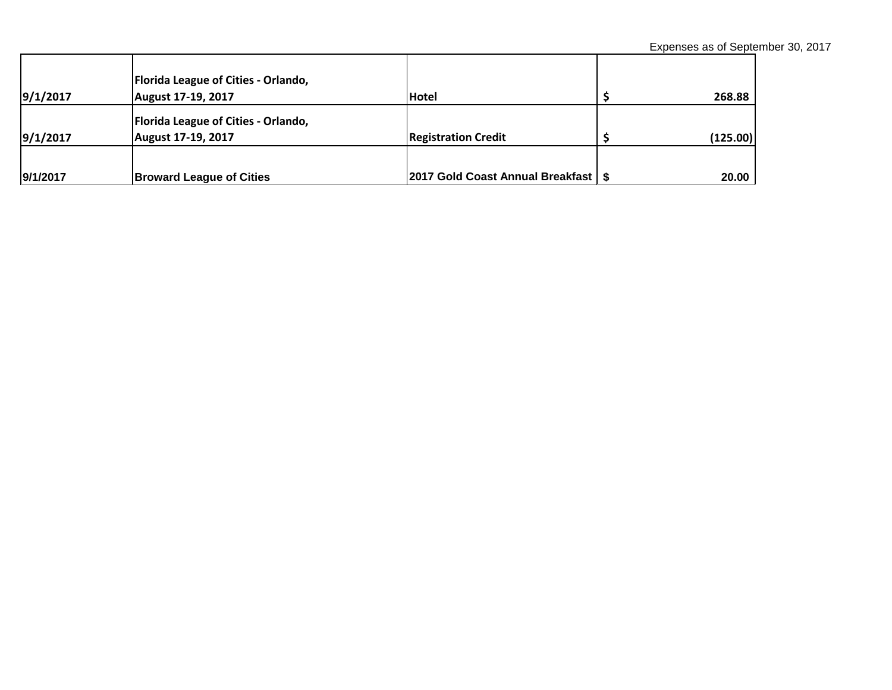Expenses as of September 30, 2017

| 9/1/2017 | Florida League of Cities - Orlando,<br>August 17-19, 2017        | <b>Hotel</b>                          | 268.88   |
|----------|------------------------------------------------------------------|---------------------------------------|----------|
| 9/1/2017 | <b>Florida League of Cities - Orlando,</b><br>August 17-19, 2017 | <b>Registration Credit</b>            | (125.00) |
| 9/1/2017 | <b>Broward League of Cities</b>                                  | 2017 Gold Coast Annual Breakfast   \$ | 20.00    |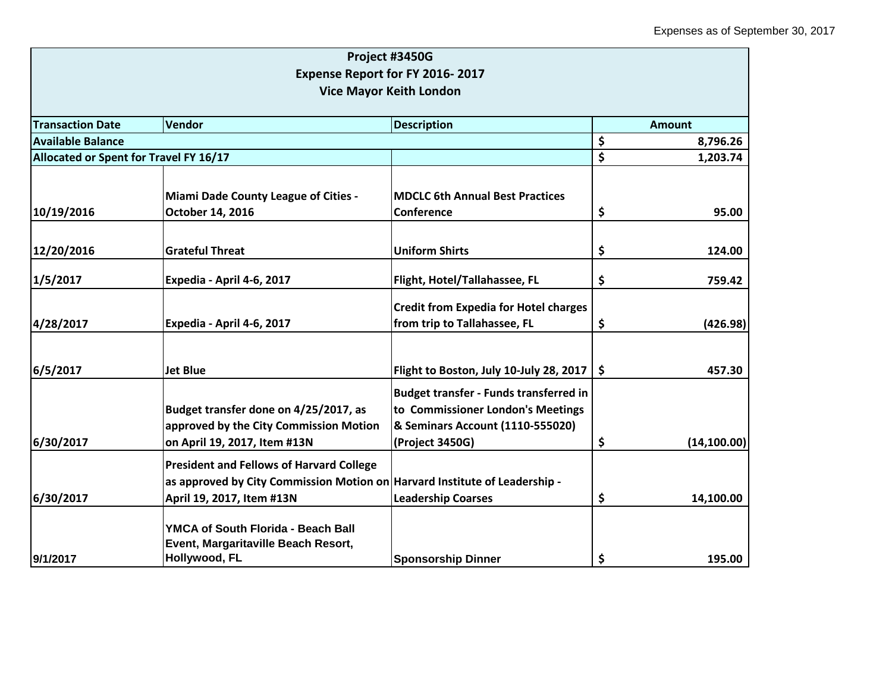|                                                                   |                                                                                                                                                              | Project #3450G                                                                                                                            |      |               |  |
|-------------------------------------------------------------------|--------------------------------------------------------------------------------------------------------------------------------------------------------------|-------------------------------------------------------------------------------------------------------------------------------------------|------|---------------|--|
| Expense Report for FY 2016-2017<br><b>Vice Mayor Keith London</b> |                                                                                                                                                              |                                                                                                                                           |      |               |  |
| <b>Transaction Date</b>                                           | Vendor                                                                                                                                                       | <b>Description</b>                                                                                                                        |      | <b>Amount</b> |  |
| <b>Available Balance</b>                                          |                                                                                                                                                              |                                                                                                                                           | \$   | 8,796.26      |  |
| Allocated or Spent for Travel FY 16/17                            |                                                                                                                                                              |                                                                                                                                           | \$   | 1,203.74      |  |
|                                                                   | Miami Dade County League of Cities -                                                                                                                         | <b>MDCLC 6th Annual Best Practices</b>                                                                                                    |      |               |  |
| 10/19/2016                                                        | October 14, 2016                                                                                                                                             | <b>Conference</b>                                                                                                                         | \$   | 95.00         |  |
| 12/20/2016                                                        | <b>Grateful Threat</b>                                                                                                                                       | <b>Uniform Shirts</b>                                                                                                                     | \$   | 124.00        |  |
| 1/5/2017                                                          | Expedia - April 4-6, 2017                                                                                                                                    | Flight, Hotel/Tallahassee, FL                                                                                                             | \$   | 759.42        |  |
| 4/28/2017                                                         | Expedia - April 4-6, 2017                                                                                                                                    | <b>Credit from Expedia for Hotel charges</b><br>from trip to Tallahassee, FL                                                              | \$   | (426.98)      |  |
| 6/5/2017                                                          | <b>Jet Blue</b>                                                                                                                                              | Flight to Boston, July 10-July 28, 2017                                                                                                   | \$ ا | 457.30        |  |
| 6/30/2017                                                         | Budget transfer done on 4/25/2017, as<br>approved by the City Commission Motion<br>on April 19, 2017, Item #13N                                              | <b>Budget transfer - Funds transferred in</b><br>to Commissioner London's Meetings<br>& Seminars Account (1110-555020)<br>(Project 3450G) | \$   | (14, 100.00)  |  |
| 6/30/2017                                                         | <b>President and Fellows of Harvard College</b><br>as approved by City Commission Motion on   Harvard Institute of Leadership -<br>April 19, 2017, Item #13N | <b>Leadership Coarses</b>                                                                                                                 | \$   | 14,100.00     |  |
| 9/1/2017                                                          | <b>YMCA of South Florida - Beach Ball</b><br>Event, Margaritaville Beach Resort,<br>Hollywood, FL                                                            | <b>Sponsorship Dinner</b>                                                                                                                 | \$   | 195.00        |  |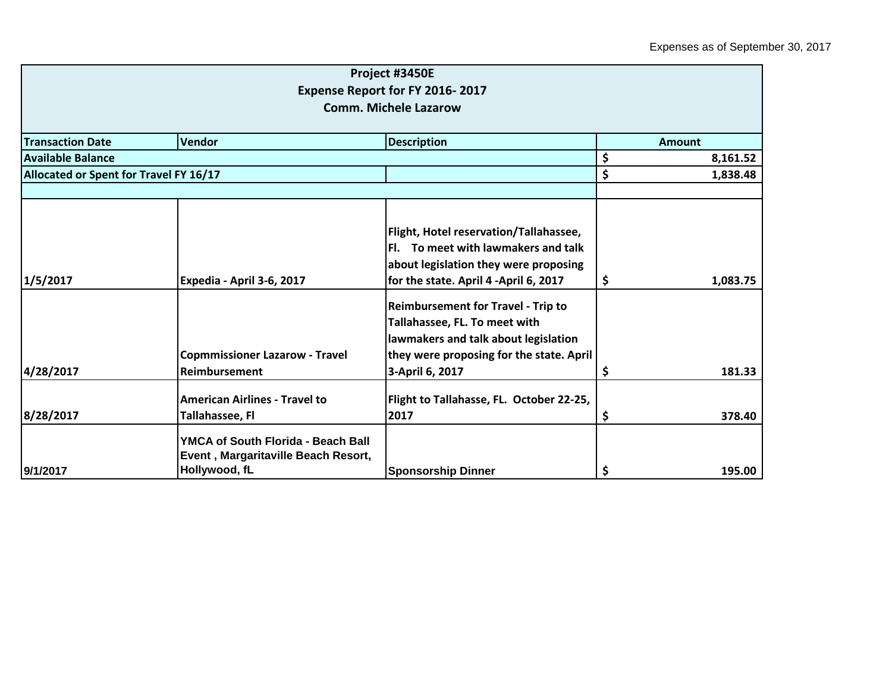|                                        |                                                                                                   | Project #3450E<br><b>Expense Report for FY 2016-2017</b><br><b>Comm. Michele Lazarow</b>                                                                                          |    |          |
|----------------------------------------|---------------------------------------------------------------------------------------------------|-----------------------------------------------------------------------------------------------------------------------------------------------------------------------------------|----|----------|
| <b>Transaction Date</b>                | <b>Vendor</b>                                                                                     | <b>Description</b>                                                                                                                                                                |    | Amount   |
| <b>Available Balance</b>               |                                                                                                   |                                                                                                                                                                                   | \$ | 8,161.52 |
| Allocated or Spent for Travel FY 16/17 |                                                                                                   |                                                                                                                                                                                   | \$ | 1,838.48 |
|                                        |                                                                                                   |                                                                                                                                                                                   |    |          |
| 1/5/2017                               | Expedia - April 3-6, 2017                                                                         | Flight, Hotel reservation/Tallahassee,<br>Fl. To meet with lawmakers and talk<br>about legislation they were proposing<br>for the state. April 4 -April 6, 2017                   | \$ | 1,083.75 |
| 4/28/2017                              | <b>Copmmissioner Lazarow - Travel</b><br>Reimbursement                                            | <b>Reimbursement for Travel - Trip to</b><br>Tallahassee, FL. To meet with<br>lawmakers and talk about legislation<br>they were proposing for the state. April<br>3-April 6, 2017 | Ş  | 181.33   |
| 8/28/2017                              | <b>American Airlines - Travel to</b><br>Tallahassee, Fl                                           | Flight to Tallahasse, FL. October 22-25,<br>2017                                                                                                                                  | \$ | 378.40   |
| 9/1/2017                               | <b>YMCA of South Florida - Beach Ball</b><br>Event, Margaritaville Beach Resort,<br>Hollywood, fL | <b>Sponsorship Dinner</b>                                                                                                                                                         | \$ | 195.00   |